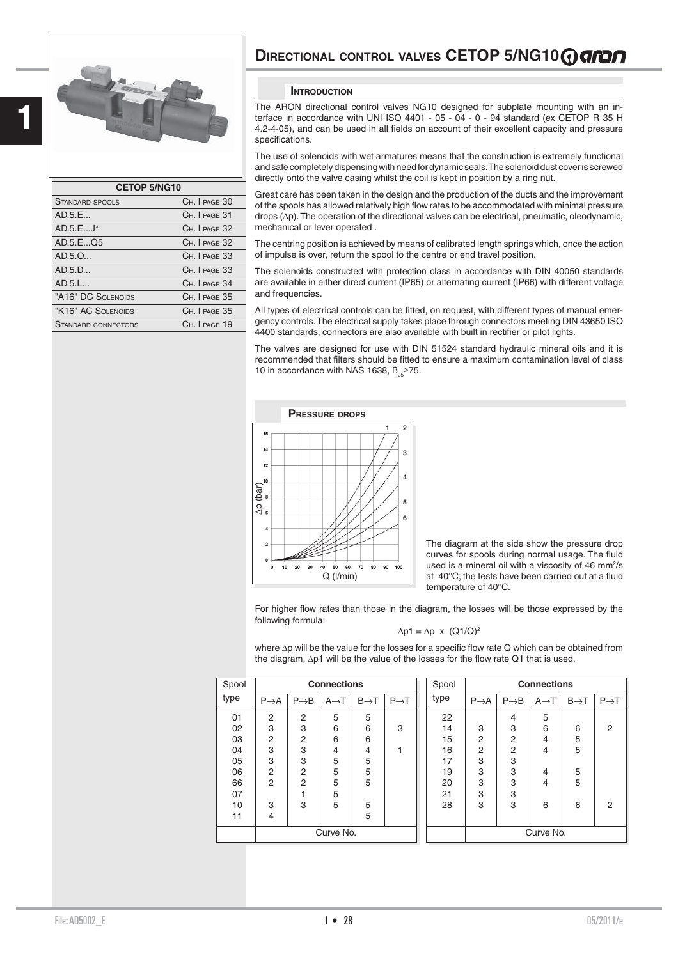

| <b>CETOP 5/NG10</b>    |               |
|------------------------|---------------|
| <b>STANDARD SPOOLS</b> | CH. I PAGE 30 |
| AD.5.E                 | CH. I PAGE 31 |
| $AD.5.EJ^*$            | CH. I PAGE 32 |
| AD.5.EQ5               | CH. I PAGE 32 |
| AD.5.0                 | CH. I PAGE 33 |
| AD.5.D                 | CH. I PAGE 33 |
| AD.5.L                 | CH. I PAGE 34 |
| "A16" DC SOLENOIDS     | CH. I PAGE 35 |
| "K16" AC SOLENOIDS     | CH. I PAGE 35 |
| STANDARD CONNECTORS    | CH. I PAGE 19 |
|                        |               |

## **DIRECTIONAL CONTROL VALVES CETOP 5/NG10@GFOO**

### **INTRODUCTION**

The ARON directional control valves NG10 designed for subplate mounting with an interface in accordance with UNI ISO 4401 - 05 - 04 - 0 - 94 standard (ex CETOP R 35 H 4.2-4-05), and can be used in all fields on account of their excellent capacity and pressure specifications.

The use of solenoids with wet armatures means that the construction is extremely functional and safe completely dispensing with need for dynamic seals. The solenoid dust cover is screwed directly onto the valve casing whilst the coil is kept in position by a ring nut.

Great care has been taken in the design and the production of the ducts and the improvement of the spools has allowed relatively high flow rates to be accommodated with minimal pressure drops (Δp). The operation of the directional valves can be electrical, pneumatic, oleodynamic, mechanical or lever operated .

The centring position is achieved by means of calibrated length springs which, once the action of impulse is over, return the spool to the centre or end travel position.

The solenoids constructed with protection class in accordance with DIN 40050 standards are available in either direct current (IP65) or alternating current (IP66) with different voltage and frequencies.

All types of electrical controls can be fitted, on request, with different types of manual emergency controls. The electrical supply takes place through connectors meeting DIN 43650 ISO 4400 standards; connectors are also available with built in rectifier or pilot lights.

The valves are designed for use with DIN 51524 standard hydraulic mineral oils and it is recommended that filters should be fitted to ensure a maximum contamination level of class 10 in accordance with NAS 1638,  $B_{0.00} \ge 75$ .



The diagram at the side show the pressure drop curves for spools during normal usage. The fluid used is a mineral oil with a viscosity of 46 mm $2$ /s at 40°C; the tests have been carried out at a fluid temperature of 40°C.

For higher flow rates than those in the diagram, the losses will be those expressed by the following formula:

$$
\Delta p1 = \Delta p \times (Q1/Q)^2
$$

where  $\Delta p$  will be the value for the losses for a specific flow rate Q which can be obtained from the diagram,  $\Delta p1$  will be the value of the losses for the flow rate Q1 that is used.

| Spool |                  |                  | <b>Connections</b> |                  |                   | Spool |                  |                  | <b>Connections</b> |                  |                  |
|-------|------------------|------------------|--------------------|------------------|-------------------|-------|------------------|------------------|--------------------|------------------|------------------|
| type  | $P\rightarrow A$ | $P\rightarrow B$ | $A \rightarrow T$  | $B\rightarrow T$ | $P \rightarrow T$ | type  | $P\rightarrow A$ | $P\rightarrow B$ | $A \rightarrow T$  | $B\rightarrow T$ | $P\rightarrow T$ |
| 01    | 2                | $\overline{2}$   | 5                  | 5                |                   | 22    |                  | 4                | 5                  |                  |                  |
| 02    | 3                | 3                | 6                  | 6                | 3                 | 14    | 3                | 3                | 6                  | 6                | 2                |
| 03    | 2                | $\overline{2}$   | 6                  | 6                |                   | 15    | 2                | 2                | 4                  | 5                |                  |
| 04    | 3                | 3                | 4                  | 4                |                   | 16    | 2                | 2                | 4                  | 5                |                  |
| 05    | 3                | 3                | 5                  | 5                |                   | 17    | 3                | 3                |                    |                  |                  |
| 06    | $\overline{2}$   | $\overline{2}$   | 5                  | 5                |                   | 19    | 3                | 3                | 4                  | 5                |                  |
| 66    | $\overline{2}$   | $\overline{2}$   | 5                  | 5                |                   | 20    | 3                | 3                | 4                  | 5                |                  |
| 07    |                  |                  | 5                  |                  |                   | 21    | 3                | 3                |                    |                  |                  |
| 10    | 3                | 3                | 5                  | 5                |                   | 28    | 3                | 3                | 6                  | 6                | $\overline{2}$   |
| 11    | 4                |                  |                    | 5                |                   |       |                  |                  |                    |                  |                  |
|       |                  |                  | Curve No.          |                  |                   |       |                  |                  | Curve No.          |                  |                  |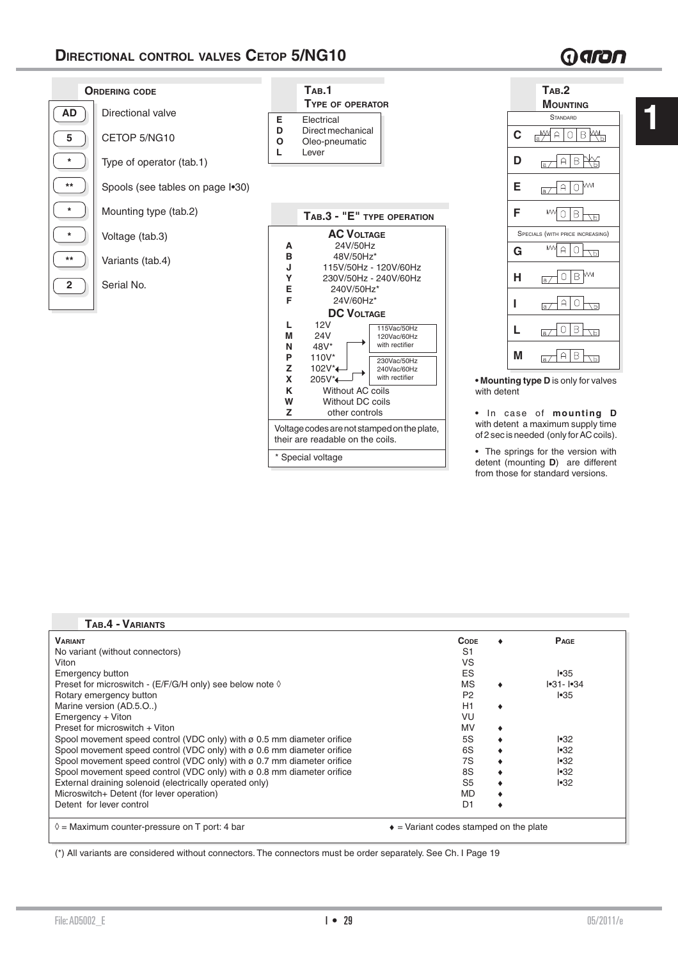# Garan

**1**



| • The springs for the version with   |  |  |  |
|--------------------------------------|--|--|--|
| detent (mounting $D$ ) are different |  |  |  |
| from those for standard versions.    |  |  |  |

| <b>VARIANT</b>                                                                | <b>CODE</b>                                    | PAGE          |
|-------------------------------------------------------------------------------|------------------------------------------------|---------------|
| No variant (without connectors)                                               | S <sub>1</sub>                                 |               |
| Viton                                                                         | VS                                             |               |
| <b>Emergency button</b>                                                       | ES                                             | $ \cdot 35 $  |
| Preset for microswitch - (E/F/G/H only) see below note $\Diamond$             | <b>MS</b>                                      | $ -31 -  -34$ |
| Rotary emergency button                                                       | P <sub>2</sub>                                 | •35           |
| Marine version (AD.5.O)                                                       | H1                                             |               |
| Emergency + Viton                                                             | VU                                             |               |
| Preset for microswitch + Viton                                                | <b>MV</b>                                      |               |
| Spool movement speed control (VDC only) with $\sigma$ 0.5 mm diameter orifice | 5S                                             | $ \cdot 32 $  |
| Spool movement speed control (VDC only) with ø 0.6 mm diameter orifice        | 6S                                             | •32           |
| Spool movement speed control (VDC only) with ø 0.7 mm diameter orifice        | 7S                                             | •32           |
| Spool movement speed control (VDC only) with $\sigma$ 0.8 mm diameter orifice | 8S                                             | •32           |
| External draining solenoid (electrically operated only)                       | S <sub>5</sub>                                 | •32           |
| Microswitch+ Detent (for lever operation)                                     | <b>MD</b>                                      |               |
| Detent for lever control                                                      | D1                                             |               |
|                                                                               |                                                |               |
| $\Diamond$ = Maximum counter-pressure on T port: 4 bar                        | $\bullet$ = Variant codes stamped on the plate |               |
|                                                                               |                                                |               |

(\*) All variants are considered without connectors. The connectors must be order separately. See Ch. I Page 19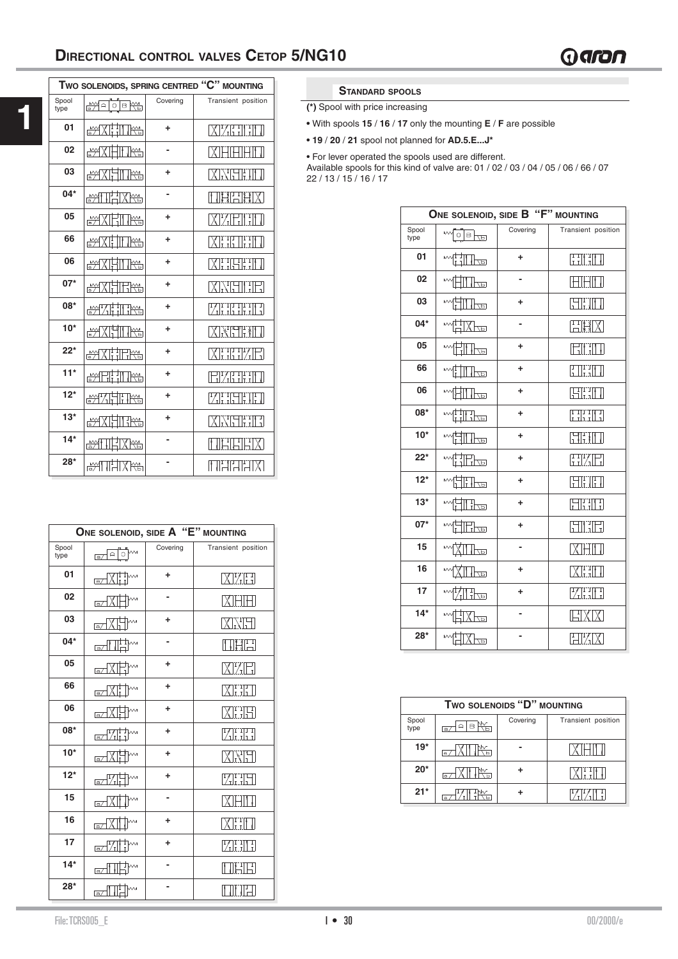|               |                     |          | TWO SOLENOIDS, SPRING CENTRED "C" MOUNTING |
|---------------|---------------------|----------|--------------------------------------------|
| Spool<br>type | i Helole K H        | Covering | Transient position                         |
| 01            | <u>Matines</u>      | ÷        | <b>XYETHED</b>                             |
| 02            | <u> MATHING</u>     |          | <b>MAHHHH</b>                              |
| 03            | <u>MXHIRS</u>       | ÷        | <b>XXHTMI</b>                              |
| $04*$         | <u>syitti Xrs</u>   |          | 田村田村区                                      |
| 05            | <u>MXIHIKY</u>      | ÷        | <b>XIZEINEI</b>                            |
| 66            | <u>MXI II K</u>     | ÷        | <b>XHEIHEI</b>                             |
| 06            | <u>MXHIRS</u>       | ÷        | <b>XHEETIN</b>                             |
| $07*$         | <u>MXHERS</u>       | ÷        | <b>XXHI IFI</b>                            |
| 08*           | <u> Mahiji ilik</u> | ÷        | <b>MERLINE</b>                             |
| $10*$         | <u>MYKIH K</u>      | ÷        | <b>XXELMI</b>                              |
| $22*$         | <u>MXHTERS</u>      | ÷        | <b>XHHXEI</b>                              |
| $11*$         | <u>MUHINY</u>       | ÷        | <b>EXERIT</b>                              |
| $12*$         | <u>Mahing</u>       | ÷        | KHTHIT                                     |
| $13*$         | <u> MATHRA</u>      | ٠        | <b>XXHHH</b>                               |
| $14*$         | <b>TXRS</b><br>▩█   |          | IHEIHX                                     |
| $28*$         | <b>RANTIFILARE</b>  |          | MARIN                                      |

|               | ONE SOLENOID, SIDE A "E" MOUNTING    |          |                    |
|---------------|--------------------------------------|----------|--------------------|
| Spool<br>type | $ a _0$ M<br>$\overline{\mathsf{a}}$ | Covering | Transient position |
| 01            | &XHM                                 | ÷        | XYFI               |
| 02            | a/                                   | -        | IXIHIF             |
| 03            | ⊠⊠                                   | ÷        | XXH                |
| $04*$         | $\prod_{i=1}^{n+1}$<br>$\sqrt{a}}$   |          | HHE                |
| 05            | -<br>T<br>⋒⋥                         | ٠        | ⊠%⊞                |
| 66            | wM<br>⊠∕ि<br>ţ                       | ÷        | XEIL               |
| 06            | a/XT                                 | ÷        | XHH                |
| 08*           | e∕"∕i¦i™                             | ÷        | ZHI                |
| $10*$         | a/XH                                 | ÷        | KNH                |
| $12*$         | a/71.                                | ÷        | ZHI                |
| 15            | [a∠] $X$                             |          | KHIT               |
| 16            | ⊠ط⊼                                  | ÷        | <b>XEIT</b>        |
| 17            | ₩Ţ<br>$\sqrt{2}$                     | ÷        | ZHE                |
| $14*$         | $\overline{a}/\sqrt{a}$              |          | 昭田                 |
| $28*$         | ╥┧<br>$\mathbb{Z}^{\mathbb{T}}$      |          | THE                |

### **STANDARD SPOOLS**

**(\*)** Spool with price increasing

**•** With spools **15** / **16** / **17** only the mounting **E** / **F** are possible

**• 19** / **20** / **21** spool not planned for **AD.5.E...J\***

• For lever operated the spools used are different.

Available spools for this kind of valve are: 01 / 02 / 03 / 04 / 05 / 06 / 66 / 07 22 / 13 / 15 / 16 / 17

|               | ONE SOLENOID, SIDE B "F" MOUNTING |          |                                                                                                                              |
|---------------|-----------------------------------|----------|------------------------------------------------------------------------------------------------------------------------------|
| Spool<br>type | $\sim$<br>$\log^2$                | Covering | Transient position                                                                                                           |
| 01            | Ħ<br><u>Ibo</u>                   | ÷        | $\begin{bmatrix} 1 & 1 \\ 1 & 1 \end{bmatrix} \begin{bmatrix} 1 & 1 \\ 1 & 1 \end{bmatrix}$                                  |
| 02            | l حداً                            |          | 批<br>Ţ                                                                                                                       |
| 03            | ╟╩                                | ÷        | <b>SKIN</b>                                                                                                                  |
| $04*$         | 제구                                | -        | HHX                                                                                                                          |
| 05            | lbo                               | ÷        | 파파<br>U                                                                                                                      |
| 66            | ╟╦                                | ÷        | $\prod_{\mathrm{I\hspace{-.1em}I\hspace{-.1em}I} \mathrm{I\hspace{-.1em}I}}^{\mathrm{I\hspace{-.1em}I\hspace{-.1em}I}}$<br>Ţ |
| 06            | ╟╩╝                               | ÷        | $\boxplus$ ll<br>Ţ                                                                                                           |
| 08*           | i iliko                           | ÷        | HHH                                                                                                                          |
| $10*$         | 1FP                               | ÷        | HHII                                                                                                                         |
| $22*$         | ᆩ                                 | ÷        | HXH                                                                                                                          |
| $12*$         | li lo                             | ÷        | HH.                                                                                                                          |
| $13*$         | Hu                                | ÷        | <b>Eliti</b>                                                                                                                 |
| $07*$         | <u>The</u>                        | ÷        | <b>SIN</b>                                                                                                                   |
| 15            | l هجا                             |          | IXIHITI                                                                                                                      |
| 16            | lbo                               | ÷        | XHI                                                                                                                          |
| 17            | Hu                                | ÷        | Zini                                                                                                                         |
| $14*$         | $\overline{d}$                    | -        | EXIX                                                                                                                         |
| $28*$         | (12                               |          | F<br>$\frac{1}{2}$                                                                                                           |

| TWO SOLENOIDS "D" MOUNTING |          |          |                    |  |  |  |  |
|----------------------------|----------|----------|--------------------|--|--|--|--|
| Spool<br>type              | a        | Covering | Transient position |  |  |  |  |
| $19*$                      | $\alpha$ |          |                    |  |  |  |  |
| $20*$                      | $\alpha$ |          |                    |  |  |  |  |
| $21*$                      |          |          |                    |  |  |  |  |